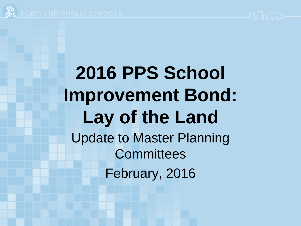

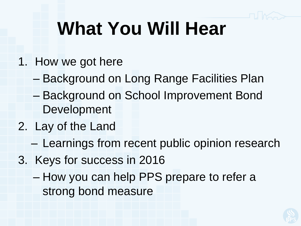# **What You Will Hear**

- 1. How we got here
	- Background on Long Range Facilities Plan
	- Background on School Improvement Bond Development
- 2. Lay of the Land
	- Learnings from recent public opinion research
- 3. Keys for success in 2016
	- How you can help PPS prepare to refer a strong bond measure

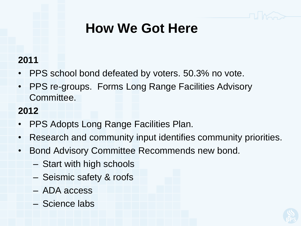## **How We Got Here**

#### **2011**

- PPS school bond defeated by voters. 50.3% no vote.
- PPS re-groups. Forms Long Range Facilities Advisory Committee.

#### **2012**

- PPS Adopts Long Range Facilities Plan.
- Research and community input identifies community priorities.
- Bond Advisory Committee Recommends new bond.
	- Start with high schools
	- Seismic safety & roofs
	- ADA access
	- Science labs

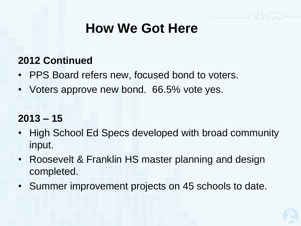### **How We Got Here**

#### **2012 Continued**

- PPS Board refers new, focused bond to voters.
- Voters approve new bond. 66.5% vote yes.

#### **2013 – 15**

- High School Ed Specs developed with broad community input.
- Roosevelt & Franklin HS master planning and design completed.
- Summer improvement projects on 45 schools to date.

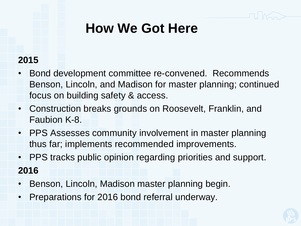## **How We Got Here**

#### **2015**

- Bond development committee re-convened. Recommends Benson, Lincoln, and Madison for master planning; continued focus on building safety & access.
- Construction breaks grounds on Roosevelt, Franklin, and Faubion K-8.
- PPS Assesses community involvement in master planning thus far; implements recommended improvements.
- PPS tracks public opinion regarding priorities and support. **2016**
- Benson, Lincoln, Madison master planning begin.
- Preparations for 2016 bond referral underway.

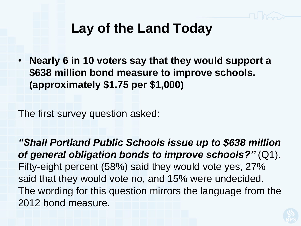## **Lay of the Land Today**

• **Nearly 6 in 10 voters say that they would support a \$638 million bond measure to improve schools. (approximately \$1.75 per \$1,000)** 

The first survey question asked:

*"Shall Portland Public Schools issue up to \$638 million of general obligation bonds to improve schools?"* (Q1). Fifty-eight percent (58%) said they would vote yes, 27% said that they would vote no, and 15% were undecided. The wording for this question mirrors the language from the 2012 bond measure.

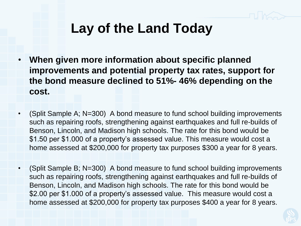## **Lay of the Land Today**

- **When given more information about specific planned improvements and potential property tax rates, support for the bond measure declined to 51%- 46% depending on the cost.**
- (Split Sample A; N=300) A bond measure to fund school building improvements such as repairing roofs, strengthening against earthquakes and full re-builds of Benson, Lincoln, and Madison high schools. The rate for this bond would be \$1.50 per \$1.000 of a property's assessed value. This measure would cost a home assessed at \$200,000 for property tax purposes \$300 a year for 8 years.
- (Split Sample B; N=300) A bond measure to fund school building improvements such as repairing roofs, strengthening against earthquakes and full re-builds of Benson, Lincoln, and Madison high schools. The rate for this bond would be \$2.00 per \$1.000 of a property's assessed value. This measure would cost a home assessed at \$200,000 for property tax purposes \$400 a year for 8 years.

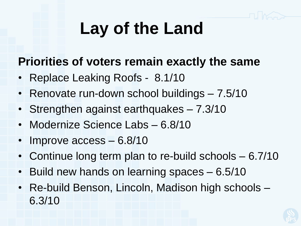## **Lay of the Land**

### **Priorities of voters remain exactly the same**

- Replace Leaking Roofs 8.1/10
- Renovate run-down school buildings 7.5/10
- Strengthen against earthquakes 7.3/10
- Modernize Science Labs 6.8/10
- Improve access 6.8/10
- Continue long term plan to re-build schools 6.7/10
- Build new hands on learning spaces 6.5/10
- Re-build Benson, Lincoln, Madison high schools 6.3/10

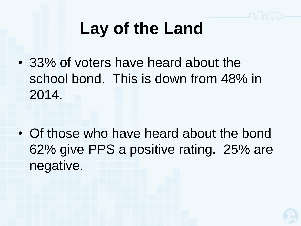## **Lay of the Land**

• 33% of voters have heard about the school bond. This is down from 48% in 2014.

• Of those who have heard about the bond 62% give PPS a positive rating. 25% are negative.